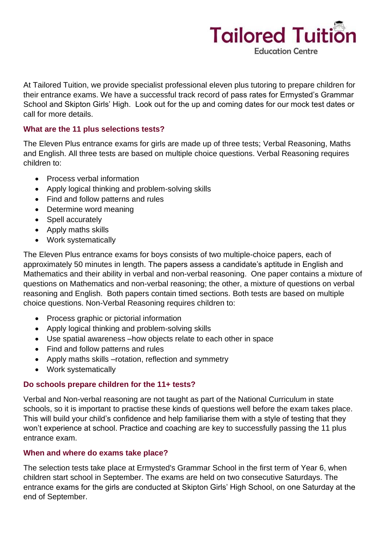

At Tailored Tuition, we provide specialist professional eleven plus tutoring to prepare children for their entrance exams. We have a successful track record of pass rates for Ermysted's Grammar School and Skipton Girls' High. Look out for the up and coming dates for our mock test dates or call for more details.

## **What are the 11 plus selections tests?**

The Eleven Plus entrance exams for girls are made up of three tests; Verbal Reasoning, Maths and English. All three tests are based on multiple choice questions. Verbal Reasoning requires children to:

- Process verbal information
- Apply logical thinking and problem-solving skills
- Find and follow patterns and rules
- Determine word meaning
- Spell accurately
- Apply maths skills
- Work systematically

The Eleven Plus entrance exams for boys consists of two multiple-choice papers, each of approximately 50 minutes in length. The papers assess a candidate's aptitude in English and Mathematics and their ability in verbal and non-verbal reasoning. One paper contains a mixture of questions on Mathematics and non-verbal reasoning; the other, a mixture of questions on verbal reasoning and English. Both papers contain timed sections. Both tests are based on multiple choice questions. Non-Verbal Reasoning requires children to:

- Process graphic or pictorial information
- Apply logical thinking and problem-solving skills
- Use spatial awareness –how objects relate to each other in space
- Find and follow patterns and rules
- Apply maths skills –rotation, reflection and symmetry
- Work systematically

### **Do schools prepare children for the 11+ tests?**

Verbal and Non-verbal reasoning are not taught as part of the National Curriculum in state schools, so it is important to practise these kinds of questions well before the exam takes place. This will build your child's confidence and help familiarise them with a style of testing that they won't experience at school. Practice and coaching are key to successfully passing the 11 plus entrance exam.

### **When and where do exams take place?**

The selection tests take place at Ermysted's Grammar School in the first term of Year 6, when children start school in September. The exams are held on two consecutive Saturdays. The entrance exams for the girls are conducted at Skipton Girls' High School, on one Saturday at the end of September.